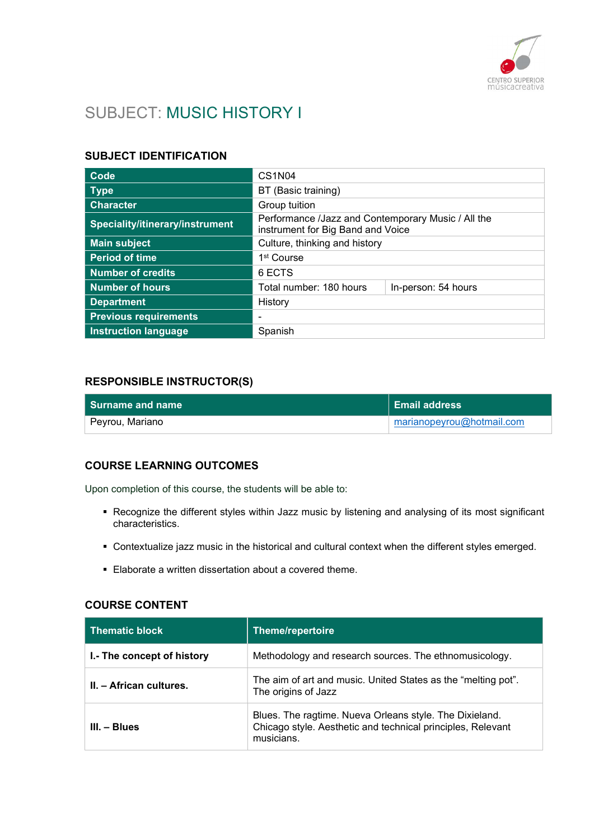

# SUBJECT: MUSIC HISTORY I

# SUBJECT IDENTIFICATION

| Code                            | CS <sub>1</sub> N <sub>04</sub>                                                         |  |
|---------------------------------|-----------------------------------------------------------------------------------------|--|
| <b>Type</b>                     | BT (Basic training)                                                                     |  |
| <b>Character</b>                | Group tuition                                                                           |  |
| Speciality/itinerary/instrument | Performance /Jazz and Contemporary Music / All the<br>instrument for Big Band and Voice |  |
| <b>Main subject</b>             | Culture, thinking and history                                                           |  |
| <b>Period of time</b>           | 1 <sup>st</sup> Course                                                                  |  |
| <b>Number of credits</b>        | 6 ECTS                                                                                  |  |
| <b>Number of hours</b>          | Total number: 180 hours<br>In-person: 54 hours                                          |  |
| <b>Department</b>               | History                                                                                 |  |
| <b>Previous requirements</b>    | ٠                                                                                       |  |
| <b>Instruction language</b>     | Spanish                                                                                 |  |

### RESPONSIBLE INSTRUCTOR(S)

| l Surname and name | $\parallel$ Email address |
|--------------------|---------------------------|
| ⊦ Peyrou, Mariano  | marianopeyrou@hotmail.com |

### COURSE LEARNING OUTCOMES

Upon completion of this course, the students will be able to:

- Recognize the different styles within Jazz music by listening and analysing of its most significant characteristics.
- Contextualize jazz music in the historical and cultural context when the different styles emerged.
- Elaborate a written dissertation about a covered theme.

#### COURSE CONTENT

| <b>Thematic block</b>      | Theme/repertoire                                                                                                                     |
|----------------------------|--------------------------------------------------------------------------------------------------------------------------------------|
| I.- The concept of history | Methodology and research sources. The ethnomusicology.                                                                               |
| II. - African cultures.    | The aim of art and music. United States as the "melting pot".<br>The origins of Jazz                                                 |
| $III. - Blues$             | Blues. The ragtime. Nueva Orleans style. The Dixieland.<br>Chicago style. Aesthetic and technical principles, Relevant<br>musicians. |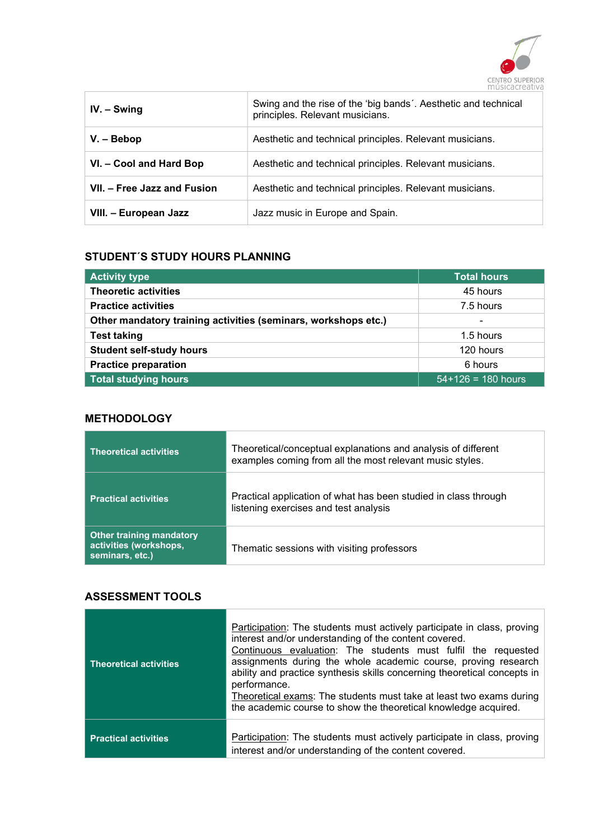

| $IV. - Swing$               | Swing and the rise of the 'big bands'. Aesthetic and technical<br>principles. Relevant musicians. |
|-----------------------------|---------------------------------------------------------------------------------------------------|
| $V - Bebop$                 | Aesthetic and technical principles. Relevant musicians.                                           |
| VI. - Cool and Hard Bop     | Aesthetic and technical principles. Relevant musicians.                                           |
| VII. - Free Jazz and Fusion | Aesthetic and technical principles. Relevant musicians.                                           |
| VIII. - European Jazz       | Jazz music in Europe and Spain.                                                                   |

# STUDENT´S STUDY HOURS PLANNING

| <b>Activity type</b>                                           | <b>Total hours</b>   |
|----------------------------------------------------------------|----------------------|
| <b>Theoretic activities</b>                                    | 45 hours             |
| <b>Practice activities</b>                                     | 7.5 hours            |
| Other mandatory training activities (seminars, workshops etc.) | $\blacksquare$       |
| <b>Test taking</b>                                             | 1.5 hours            |
| <b>Student self-study hours</b>                                | 120 hours            |
| <b>Practice preparation</b>                                    | 6 hours              |
| <b>Total studying hours</b>                                    | $54+126 = 180$ hours |

## **METHODOLOGY**

| <b>Theoretical activities</b>                                                | Theoretical/conceptual explanations and analysis of different<br>examples coming from all the most relevant music styles. |
|------------------------------------------------------------------------------|---------------------------------------------------------------------------------------------------------------------------|
| <b>Practical activities</b>                                                  | Practical application of what has been studied in class through<br>listening exercises and test analysis                  |
| <b>Other training mandatory</b><br>activities (workshops,<br>seminars, etc.) | Thematic sessions with visiting professors                                                                                |

## ASSESSMENT TOOLS

| <b>Theoretical activities</b> | Participation: The students must actively participate in class, proving<br>interest and/or understanding of the content covered.<br>Continuous evaluation: The students must fulfil the requested<br>assignments during the whole academic course, proving research<br>ability and practice synthesis skills concerning theoretical concepts in<br>performance.<br>Theoretical exams: The students must take at least two exams during<br>the academic course to show the theoretical knowledge acquired. |
|-------------------------------|-----------------------------------------------------------------------------------------------------------------------------------------------------------------------------------------------------------------------------------------------------------------------------------------------------------------------------------------------------------------------------------------------------------------------------------------------------------------------------------------------------------|
| <b>Practical activities</b>   | Participation: The students must actively participate in class, proving<br>interest and/or understanding of the content covered.                                                                                                                                                                                                                                                                                                                                                                          |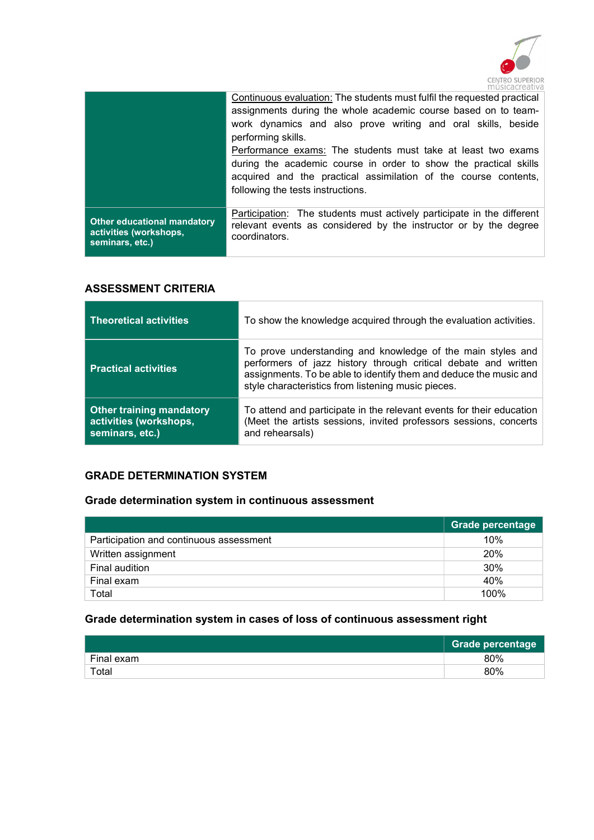

|                                    | Continuous evaluation: The students must fulfil the requested practical<br>assignments during the whole academic course based on to team-<br>work dynamics and also prove writing and oral skills, beside<br>performing skills.<br>Performance exams: The students must take at least two exams<br>during the academic course in order to show the practical skills<br>acquired and the practical assimilation of the course contents,<br>following the tests instructions. |
|------------------------------------|-----------------------------------------------------------------------------------------------------------------------------------------------------------------------------------------------------------------------------------------------------------------------------------------------------------------------------------------------------------------------------------------------------------------------------------------------------------------------------|
| <b>Other educational mandatory</b> | Participation: The students must actively participate in the different                                                                                                                                                                                                                                                                                                                                                                                                      |
| activities (workshops,             | relevant events as considered by the instructor or by the degree                                                                                                                                                                                                                                                                                                                                                                                                            |
| seminars, etc.)                    | coordinators.                                                                                                                                                                                                                                                                                                                                                                                                                                                               |

### ASSESSMENT CRITERIA

| <b>Theoretical activities</b>                                                | To show the knowledge acquired through the evaluation activities.                                                                                                                                                                                        |
|------------------------------------------------------------------------------|----------------------------------------------------------------------------------------------------------------------------------------------------------------------------------------------------------------------------------------------------------|
| <b>Practical activities</b>                                                  | To prove understanding and knowledge of the main styles and<br>performers of jazz history through critical debate and written<br>assignments. To be able to identify them and deduce the music and<br>style characteristics from listening music pieces. |
| <b>Other training mandatory</b><br>activities (workshops,<br>seminars, etc.) | To attend and participate in the relevant events for their education<br>(Meet the artists sessions, invited professors sessions, concerts<br>and rehearsals)                                                                                             |

# GRADE DETERMINATION SYSTEM

# Grade determination system in continuous assessment

|                                         | <b>Grade percentage</b> |
|-----------------------------------------|-------------------------|
| Participation and continuous assessment | 10%                     |
| Written assignment                      | 20%                     |
| Final audition                          | 30%                     |
| Final exam                              | 40%                     |
| Total                                   | 100%                    |

# Grade determination system in cases of loss of continuous assessment right

|            | <b>Grade percentage</b> |
|------------|-------------------------|
| Final exam | 80%                     |
| Total      | 80%                     |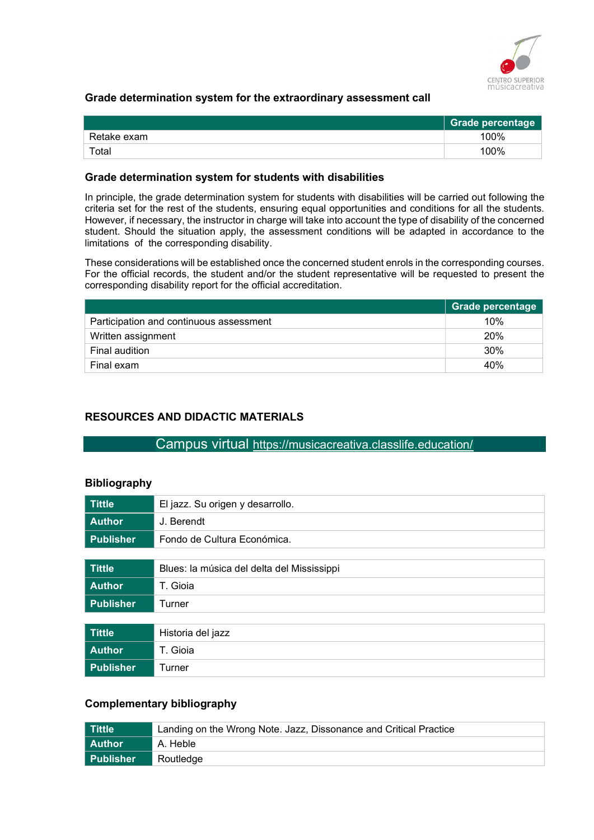

### Grade determination system for the extraordinary assessment call

|             | <b>Grade percentage</b> |
|-------------|-------------------------|
| Retake exam | 100%                    |
| Total       | 100%                    |

#### Grade determination system for students with disabilities

In principle, the grade determination system for students with disabilities will be carried out following the criteria set for the rest of the students, ensuring equal opportunities and conditions for all the students. However, if necessary, the instructor in charge will take into account the type of disability of the concerned student. Should the situation apply, the assessment conditions will be adapted in accordance to the limitations of the corresponding disability.

These considerations will be established once the concerned student enrols in the corresponding courses. For the official records, the student and/or the student representative will be requested to present the corresponding disability report for the official accreditation.

|                                         | <b>Grade percentage</b> |
|-----------------------------------------|-------------------------|
| Participation and continuous assessment | 10%                     |
| Written assignment                      | <b>20%</b>              |
| Final audition                          | 30%                     |
| Final exam                              | 40%                     |

### RESOURCES AND DIDACTIC MATERIALS

### Campus virtual https://musicacreativa.classlife.education/

#### Bibliography

| <b>Tittle</b>    | El jazz. Su origen y desarrollo.           |
|------------------|--------------------------------------------|
| <b>Author</b>    | J. Berendt                                 |
| <b>Publisher</b> | Fondo de Cultura Económica.                |
|                  |                                            |
| <b>Tittle</b>    | Blues: la música del delta del Mississippi |
| <b>Author</b>    | T. Gioia                                   |
| <b>Publisher</b> | Turner                                     |
|                  |                                            |
| <b>Tittle</b>    | Historia del jazz                          |
| <b>Author</b>    | T. Gioia                                   |
| <b>Publisher</b> | Turner                                     |

# Complementary bibliography

| Tittle           | Landing on the Wrong Note. Jazz, Dissonance and Critical Practice |
|------------------|-------------------------------------------------------------------|
| l Author         | A. Heble                                                          |
| <b>Publisher</b> | Routledge                                                         |